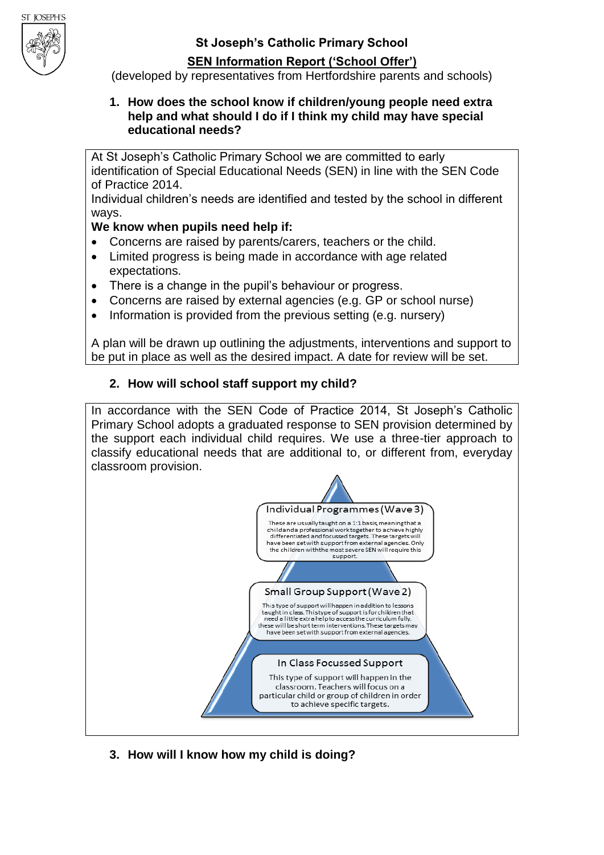**St Joseph's Catholic Primary School**

# **SEN Information Report ('School Offer')**

(developed by representatives from Hertfordshire parents and schools)

#### **1. How does the school know if children/young people need extra help and what should I do if I think my child may have special educational needs?**

At St Joseph's Catholic Primary School we are committed to early identification of Special Educational Needs (SEN) in line with the SEN Code of Practice 2014.

Individual children's needs are identified and tested by the school in different ways.

# **We know when pupils need help if:**

- Concerns are raised by parents/carers, teachers or the child.
- Limited progress is being made in accordance with age related expectations.
- There is a change in the pupil's behaviour or progress.
- Concerns are raised by external agencies (e.g. GP or school nurse)
- Information is provided from the previous setting (e.g. nursery)

A plan will be drawn up outlining the adjustments, interventions and support to be put in place as well as the desired impact. A date for review will be set.

# **2. How will school staff support my child?**

In accordance with the SEN Code of Practice 2014, St Joseph's Catholic Primary School adopts a graduated response to SEN provision determined by the support each individual child requires. We use a three-tier approach to classify educational needs that are additional to, or different from, everyday classroom provision.



**3. How will I know how my child is doing?**

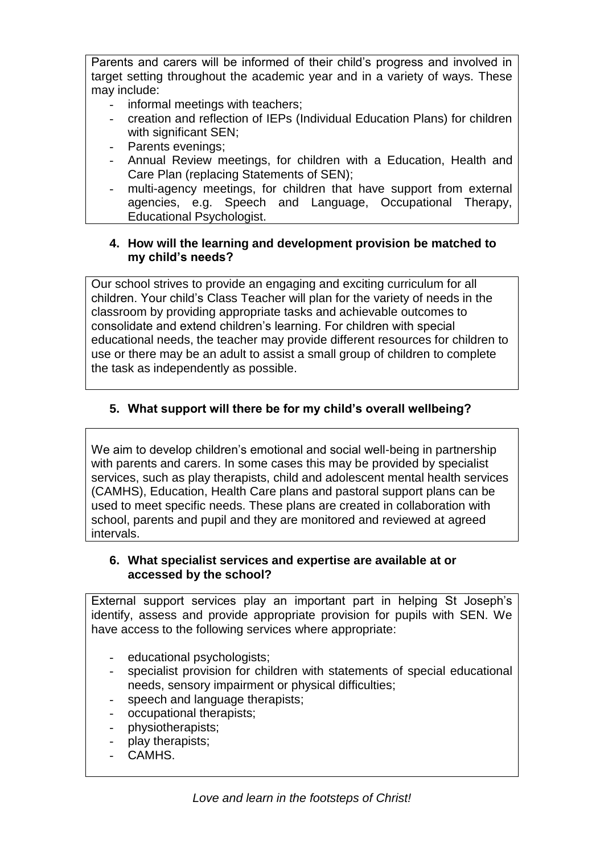Parents and carers will be informed of their child's progress and involved in target setting throughout the academic year and in a variety of ways. These may include:

- informal meetings with teachers;
- creation and reflection of IEPs (Individual Education Plans) for children with significant SEN:
- Parents evenings;
- Annual Review meetings, for children with a Education, Health and Care Plan (replacing Statements of SEN);
- multi-agency meetings, for children that have support from external agencies, e.g. Speech and Language, Occupational Therapy, Educational Psychologist.

#### **4. How will the learning and development provision be matched to my child's needs?**

Our school strives to provide an engaging and exciting curriculum for all children. Your child's Class Teacher will plan for the variety of needs in the classroom by providing appropriate tasks and achievable outcomes to consolidate and extend children's learning. For children with special educational needs, the teacher may provide different resources for children to use or there may be an adult to assist a small group of children to complete the task as independently as possible.

# **5. What support will there be for my child's overall wellbeing?**

We aim to develop children's emotional and social well-being in partnership with parents and carers. In some cases this may be provided by specialist services, such as play therapists, child and adolescent mental health services (CAMHS), Education, Health Care plans and pastoral support plans can be used to meet specific needs. These plans are created in collaboration with school, parents and pupil and they are monitored and reviewed at agreed intervals.

## **6. What specialist services and expertise are available at or accessed by the school?**

External support services play an important part in helping St Joseph's identify, assess and provide appropriate provision for pupils with SEN. We have access to the following services where appropriate:

- educational psychologists;
- specialist provision for children with statements of special educational needs, sensory impairment or physical difficulties;
- speech and language therapists;
- occupational therapists;
- physiotherapists;
- play therapists;
- CAMHS.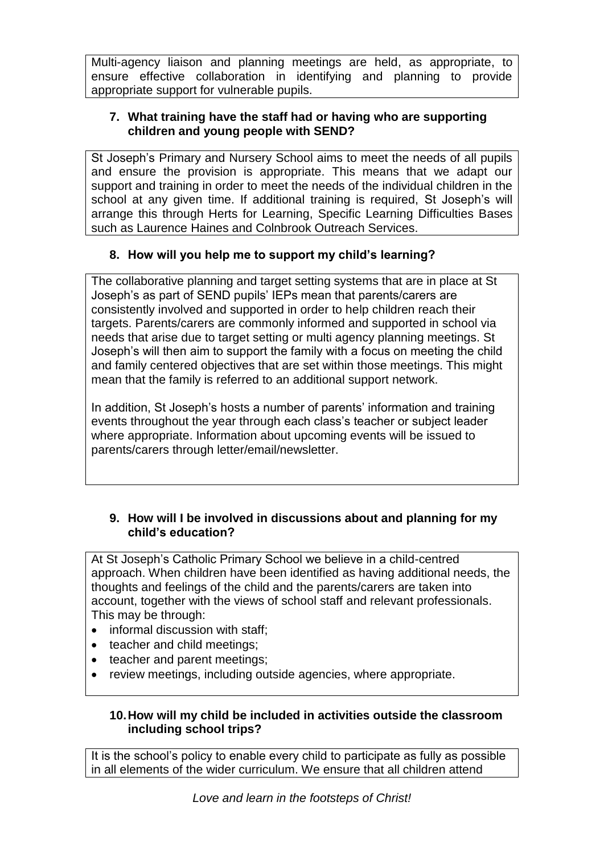Multi-agency liaison and planning meetings are held, as appropriate, to ensure effective collaboration in identifying and planning to provide appropriate support for vulnerable pupils.

# **7. What training have the staff had or having who are supporting children and young people with SEND?**

St Joseph's Primary and Nursery School aims to meet the needs of all pupils and ensure the provision is appropriate. This means that we adapt our support and training in order to meet the needs of the individual children in the school at any given time. If additional training is required, St Joseph's will arrange this through Herts for Learning, Specific Learning Difficulties Bases such as Laurence Haines and Colnbrook Outreach Services.

# **8. How will you help me to support my child's learning?**

The collaborative planning and target setting systems that are in place at St Joseph's as part of SEND pupils' IEPs mean that parents/carers are consistently involved and supported in order to help children reach their targets. Parents/carers are commonly informed and supported in school via needs that arise due to target setting or multi agency planning meetings. St Joseph's will then aim to support the family with a focus on meeting the child and family centered objectives that are set within those meetings. This might mean that the family is referred to an additional support network.

In addition, St Joseph's hosts a number of parents' information and training events throughout the year through each class's teacher or subject leader where appropriate. Information about upcoming events will be issued to parents/carers through letter/email/newsletter.

## **9. How will I be involved in discussions about and planning for my child's education?**

At St Joseph's Catholic Primary School we believe in a child-centred approach. When children have been identified as having additional needs, the thoughts and feelings of the child and the parents/carers are taken into account, together with the views of school staff and relevant professionals. This may be through:

- informal discussion with staff:
- teacher and child meetings:
- teacher and parent meetings;
- review meetings, including outside agencies, where appropriate.

## **10.How will my child be included in activities outside the classroom including school trips?**

It is the school's policy to enable every child to participate as fully as possible in all elements of the wider curriculum. We ensure that all children attend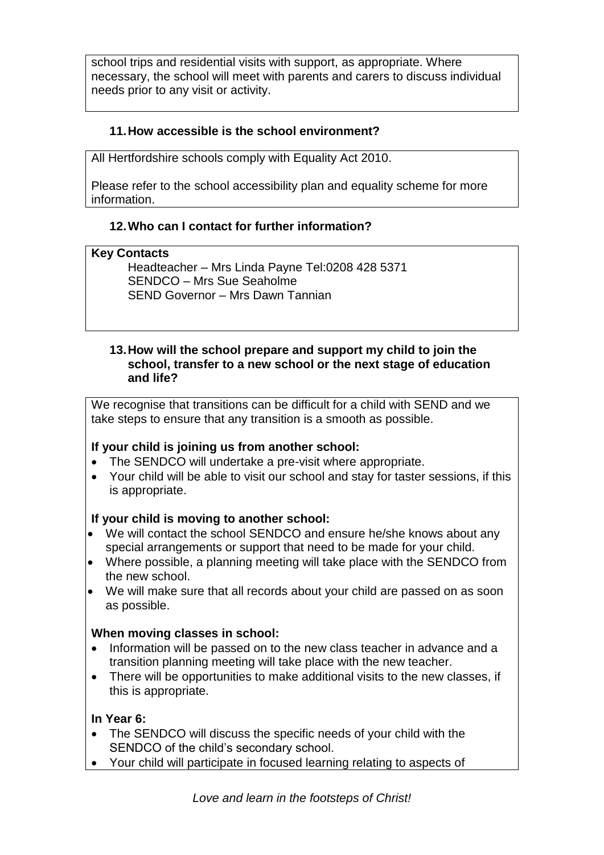school trips and residential visits with support, as appropriate. Where necessary, the school will meet with parents and carers to discuss individual needs prior to any visit or activity.

# **11.How accessible is the school environment?**

All Hertfordshire schools comply with Equality Act 2010.

Please refer to the school accessibility plan and equality scheme for more information.

# **12.Who can I contact for further information?**

## **Key Contacts**

 Headteacher – Mrs Linda Payne Tel:0208 428 5371 SENDCO – Mrs Sue Seaholme SEND Governor – Mrs Dawn Tannian

#### **13.How will the school prepare and support my child to join the school, transfer to a new school or the next stage of education and life?**

We recognise that transitions can be difficult for a child with SEND and we take steps to ensure that any transition is a smooth as possible.

# **If your child is joining us from another school:**

- The SENDCO will undertake a pre-visit where appropriate.
- Your child will be able to visit our school and stay for taster sessions, if this is appropriate.

# **If your child is moving to another school:**

- We will contact the school SENDCO and ensure he/she knows about any special arrangements or support that need to be made for your child.
- Where possible, a planning meeting will take place with the SENDCO from the new school.
- We will make sure that all records about your child are passed on as soon as possible.

# **When moving classes in school:**

- Information will be passed on to the new class teacher in advance and a transition planning meeting will take place with the new teacher.
- There will be opportunities to make additional visits to the new classes, if this is appropriate.

# **In Year 6:**

- The SENDCO will discuss the specific needs of your child with the SENDCO of the child's secondary school.
- Your child will participate in focused learning relating to aspects of